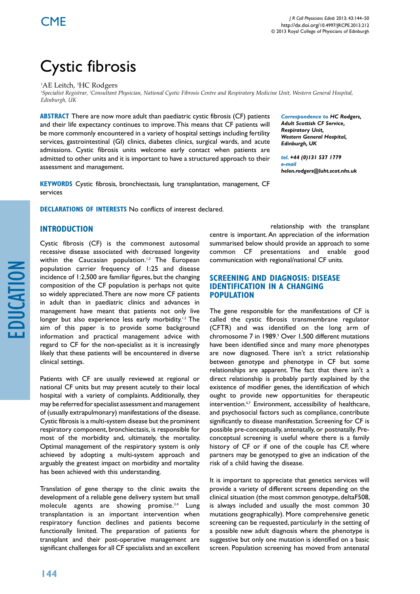*Correspondence to HC Rodgers, Adult Scottish CF Service, Respiratory Unit, Western General Hospital,* 

# Cystic fibrosis

## <sup>1</sup>AE Leitch, <sup>2</sup>HC Rodgers

*1 Specialist Registrar, 2 Consultant Physician, National Cystic Fibrosis Centre and Respiratory Medicine Unit, Western General Hospital, Edinburgh, UK*

**ABSTRACT** There are now more adult than paediatric cystic fibrosis (CF) patients and their life expectancy continues to improve. This means that CF patients will be more commonly encountered in a variety of hospital settings including fertility services, gastrointestinal (GI) clinics, diabetes clinics, surgical wards, and acute admissions. Cystic fibrosis units welcome early contact when patients are admitted to other units and it is important to have a structured approach to their assessment and management.

**Keywords** Cystic fibrosis, bronchiectasis, lung transplantation, management, CF services

**DECLARATIONS OF INTERESTS** No conflicts of interest declared.

## **Introduction**

Cystic fibrosis (CF) is the commonest autosomal recessive disease associated with decreased longevity within the Caucasian population.<sup>1,2</sup> The European population carrier frequency of 1:25 and disease incidence of 1:2,500 are familiar figures, but the changing composition of the CF population is perhaps not quite so widely appreciated. There are now more CF patients in adult than in paediatric clinics and advances in management have meant that patients not only live longer but also experience less early morbidity.<sup>1,2</sup> The aim of this paper is to provide some background information and practical management advice with regard to CF for the non-specialist as it is increasingly likely that these patients will be encountered in diverse clinical settings.

Patients with CF are usually reviewed at regional or national CF units but may present acutely to their local hospital with a variety of complaints. Additionally, they may be referred for specialist assessment and management of (usually extrapulmonary) manifestations of the disease. Cystic fibrosis is a multi-system disease but the prominent respiratory component, bronchiectasis, is responsible for most of the morbidity and, ultimately, the mortality. Optimal management of the respiratory system is only achieved by adopting a multi-system approach and arguably the greatest impact on morbidity and mortality has been achieved with this understanding.

Translation of gene therapy to the clinic awaits the development of a reliable gene delivery system but small molecule agents are showing promise.<sup>3,4</sup> Lung transplantation is an important intervention when respiratory function declines and patients become functionally limited. The preparation of patients for transplant and their post-operative management are significant challenges for all CF specialists and an excellent

relationship with the transplant centre is important. An appreciation of the information summarised below should provide an approach to some common CF presentations and enable good communication with regional/national CF units.

*Edinburgh, UK*

*e-mail* 

*tel. +44 (0)131 537 1779*

*helen.rodgers@luht.scot.nhs.uk*

## **Screening and diagnosis: disease IDENTIFICATION IN A CHANGING population**

The gene responsible for the manifestations of CF is called the cystic fibrosis transmembrane regulator (CFTR) and was identified on the long arm of chromosome 7 in 1989.<sup>5</sup> Over 1,500 different mutations have been identified since and many more phenotypes are now diagnosed. There isn't a strict relationship between genotype and phenotype in CF but some relationships are apparent. The fact that there isn't a direct relationship is probably partly explained by the existence of modifier genes, the identification of which ought to provide new opportunities for therapeutic intervention.<sup>6,7</sup> Environment, accessibility of healthcare, and psychosocial factors such as compliance, contribute significantly to disease manifestation. Screening for CF is possible pre-conceptually, antenatally, or postnatally. Preconceptual screening is useful where there is a family history of CF or if one of the couple has CF, where partners may be genotyped to give an indication of the risk of a child having the disease.

It is important to appreciate that genetics services will provide a variety of different screens depending on the clinical situation (the most common genotype, deltaF508, is always included and usually the most common 30 mutations geographically). More comprehensive genetic screening can be requested, particularly in the setting of a possible new adult diagnosis where the phenotype is suggestive but only one mutation is identified on a basic screen. Population screening has moved from antenatal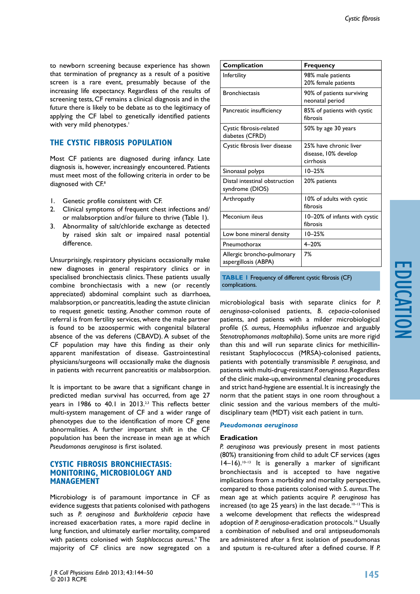to newborn screening because experience has shown that termination of pregnancy as a result of a positive screen is a rare event, presumably because of the increasing life expectancy. Regardless of the results of screening tests, CF remains a clinical diagnosis and in the future there is likely to be debate as to the legitimacy of applying the CF label to genetically identified patients with very mild phenotypes.<sup>1</sup>

# **The cystic fibrosis population**

Most CF patients are diagnosed during infancy. Late diagnosis is, however, increasingly encountered. Patients must meet most of the following criteria in order to be diagnosed with CF.<sup>8</sup>

- 1. Genetic profile consistent with CF.
- 2. Clinical symptoms of frequent chest infections and/ or malabsorption and/or failure to thrive (Table 1).
- 3. Abnormality of salt/chloride exchange as detected by raised skin salt or impaired nasal potential difference.

Unsurprisingly, respiratory physicians occasionally make new diagnoses in general respiratory clinics or in specialised bronchiectasis clinics. These patients usually combine bronchiectasis with a new (or recently appreciated) abdominal complaint such as diarrhoea, malabsorption, or pancreatitis, leading the astute clinician to request genetic testing. Another common route of referral is from fertility services, where the male partner is found to be azoospermic with congenital bilateral absence of the vas deferens (CBAVD). A subset of the CF population may have this finding as their only apparent manifestation of disease. Gastrointestinal physicians/surgeons will occasionally make the diagnosis in patients with recurrent pancreatitis or malabsorption.

It is important to be aware that a significant change in predicted median survival has occurred, from age 27 years in 1986 to 40.1 in 2013.<sup>2,3</sup> This reflects better multi-system management of CF and a wider range of phenotypes due to the identification of more CF gene abnormalities. A further important shift in the CF population has been the increase in mean age at which *Pseudomonas aeruginosa* is first isolated.

# **Cystic fibrosis bronchiectasis: monitoring, microbiology and management**

Microbiology is of paramount importance in CF as evidence suggests that patients colonised with pathogens such as *P. aeruginosa* and *Burkholderia cepacia* have increased exacerbation rates, a more rapid decline in lung function, and ultimately earlier mortality, compared with patients colonised with Staphlococcus aureus.<sup>9</sup> The majority of CF clinics are now segregated on a

| Complication                                       | <b>Frequency</b>                                            |
|----------------------------------------------------|-------------------------------------------------------------|
| Infertility                                        | 98% male patients<br>20% female patients                    |
| <b>Bronchiectasis</b>                              | 90% of patients surviving<br>neonatal period                |
| Pancreatic insufficiency                           | 85% of patients with cystic<br>fibrosis                     |
| Cystic fibrosis-related<br>diabetes (CFRD)         | 50% by age 30 years                                         |
| Cystic fibrosis liver disease                      | 25% have chronic liver<br>disease, 10% develop<br>cirrhosis |
| Sinonasal polyps                                   | $10 - 25%$                                                  |
| Distal intestinal obstruction<br>syndrome (DIOS)   | 20% patients                                                |
| Arthropathy                                        | 10% of adults with cystic<br>fibrosis                       |
| Meconium ileus                                     | 10–20% of infants with cystic<br>fibrosis                   |
| Low bone mineral density                           | $10 - 25%$                                                  |
| Pneumothorax                                       | $4 - 20%$                                                   |
| Allergic broncho-pulmonary<br>aspergillosis (ABPA) | 7%                                                          |

**TABLE 1** Frequency of different cystic fibrosis (CF) complications.

microbiological basis with separate clinics for *P. aeruginosa*-colonised patients, *B. cepacia*-colonised patients, and patients with a milder microbiological profile (*S. aureus*, *Haemophilus influenzae* and arguably *Stenotrophomonas maltophilia*). Some units are more rigid than this and will run separate clinics for methicillinresistant Staphylococcus (MRSA)-colonised patients, patients with potentially transmissible *P. aeruginosa*, and patients with multi-drug-resistant *P. aeruginosa*. Regardless of the clinic make-up, environmental cleaning procedures and strict hand-hygiene are essential. It is increasingly the norm that the patient stays in one room throughout a clinic session and the various members of the multidisciplinary team (MDT) visit each patient in turn.

## *Pseudomonas aeruginosa*

### **Eradication**

*P. aeruginosa* was previously present in most patients (80%) transitioning from child to adult CF services (ages 14–16).10–13 It is generally a marker of significant bronchiectasis and is accepted to have negative implications from a morbidity and mortality perspective, compared to those patients colonised with *S. aureus*. The mean age at which patients acquire *P. aeruginosa* has increased (to age 25 years) in the last decade.<sup>10-13</sup> This is a welcome development that reflects the widespread adoption of *P. aeruginosa*-eradication protocols.14 Usually a combination of nebulised and oral antipseudomonals are administered after a first isolation of pseudomonas and sputum is re-cultured after a defined course. If *P.*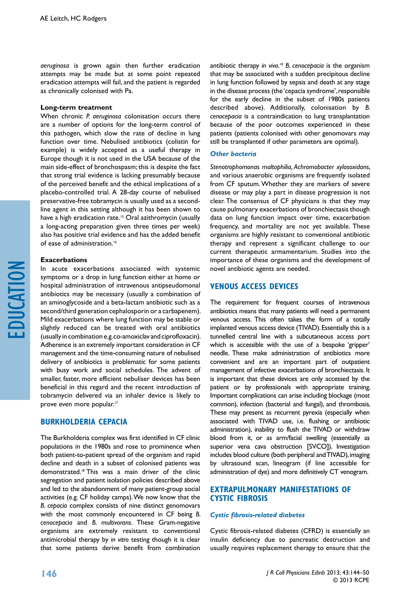*aeruginosa* is grown again then further eradication attempts may be made but at some point repeated eradication attempts will fail, and the patient is regarded as chronically colonised with Pa.

## **Long-term treatment**

When chronic *P. aeruginosa* colonisation occurs there are a number of options for the long-term control of this pathogen, which slow the rate of decline in lung function over time. Nebulised antibiotics (colistin for example) is widely accepted as a useful therapy in Europe though it is not used in the USA because of the main side-effect of bronchospasm; this is despite the fact that strong trial evidence is lacking presumably because of the perceived benefit and the ethical implications of a placebo-controlled trial. A 28-day course of nebulised preservative-free tobramycin is usually used as a secondline agent in this setting although it has been shown to have a high eradication rate.<sup>15</sup> Oral azithromycin (usually a long-acting preparation given three times per week) also has positive trial evidence and has the added benefit of ease of administration.<sup>16</sup>

## **Exacerbations**

In acute exacerbations associated with systemic symptoms or a drop in lung function either at home or hospital administration of intravenous antipseudomonal antibiotics may be necessary (usually a combination of an aminoglycoside and a beta-lactam antibiotic such as a second/third generation cephalosporin or a carbapenem). Mild exacerbations where lung function may be stable or slightly reduced can be treated with oral antibiotics (usually in combination e.g. co-amoxiclav and ciprofloxacin). Adherence is an extremely important consideration in CF management and the time-consuming nature of nebulised delivery of antibiotics is problematic for some patients with busy work and social schedules. The advent of smaller, faster, more efficient nebuliser devices has been beneficial in this regard and the recent introduction of tobramycin delivered via an inhaler device is likely to prove even more popular.<sup>17</sup>

# **Burkholderia cepacia**

The Burkholderia complex was first identified in CF clinic populations in the 1980s and rose to prominence when both patient-to-patient spread of the organism and rapid decline and death in a subset of colonised patients was demonstrated.18 This was a main driver of the clinic segregation and patient isolation policies described above and led to the abandonment of many patient-group social activities (e.g. CF holiday camps). We now know that the *B. cepacia* complex consists of nine distinct genomovars with the most commonly encountered in CF being *B. cenocepacia* and *B. multivorans.* These Gram-negative organisms are extremely resistant to conventional antimicrobial therapy by *in vitro* testing though it is clear that some patients derive benefit from combination

antibiotic therapy *in vivo*. <sup>18</sup> *B. cenocepacia* is the organism that may be associated with a sudden precipitous decline in lung function followed by sepsis and death at any stage in the disease process (the 'cepacia syndrome', responsible for the early decline in the subset of 1980s patients described above). Additionally, colonisation by *B. cenocepacia* is a contraindication to lung transplantation because of the poor outcomes experienced in these patients (patients colonised with other genomovars may still be transplanted if other parameters are optimal).

## *Other bacteria*

*Stenotrophomonas maltophilia, Achromobacter xylosoxidans*, and various anaerobic organisms are frequently isolated from CF sputum. Whether they are markers of severe disease or may play a part in disease progression is not clear. The consensus of CF physicians is that they may cause pulmonary exacerbations of bronchiectasis though data on lung function impact over time, exacerbation frequency, and mortality are not yet available. These organisms are highly resistant to conventional antibiotic therapy and represent a significant challenge to our current therapeutic armamentarium. Studies into the importance of these organisms and the development of novel antibiotic agents are needed.

# **Venous access devices**

The requirement for frequent courses of intravenous antibiotics means that many patients will need a permanent venous access. This often takes the form of a totally implanted venous access device (TIVAD). Essentially this is a tunnelled central line with a subcutaneous access port which is accessible with the use of a bespoke 'gripper' needle. These make administration of antibiotics more convenient and are an important part of outpatient management of infective exacerbations of bronchiectasis. It is important that these devices are only accessed by the patient or by professionals with appropriate training. Important complications can arise including blockage (most common), infection (bacterial and fungal), and thrombosis. These may present as recurrent pyrexia (especially when associated with TIVAD use, i.e. flushing or antibiotic administration), inability to flush the TIVAD or withdraw blood from it, or as arm/facial swelling (essentially as superior vena cava obstruction [SVCO]). Investigation includes blood culture (both peripheral and TIVAD), imaging by ultrasound scan, lineogram (if line accessible for administration of dye) and more definitively CT venogram.

# **Extrapulmonary manifestations of cystic fibrosis**

## *Cystic fibrosis-related diabetes*

Cystic fibrosis-related diabetes (CFRD) is essentially an insulin deficiency due to pancreatic destruction and usually requires replacement therapy to ensure that the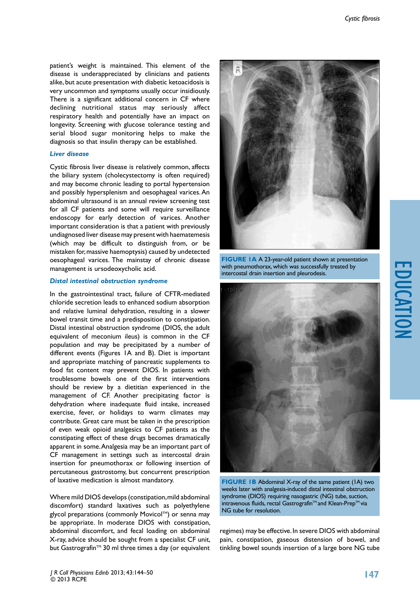patient's weight is maintained. This element of the disease is underappreciated by clinicians and patients alike, but acute presentation with diabetic ketoacidosis is very uncommon and symptoms usually occur insidiously. There is a significant additional concern in CF where declining nutritional status may seriously affect respiratory health and potentially have an impact on longevity. Screening with glucose tolerance testing and serial blood sugar monitoring helps to make the diagnosis so that insulin therapy can be established.

## *Liver disease*

Cystic fibrosis liver disease is relatively common, affects the biliary system (cholecystectomy is often required) and may become chronic leading to portal hypertension and possibly hypersplenism and oesophageal varices. An abdominal ultrasound is an annual review screening test for all CF patients and some will require surveillance endoscopy for early detection of varices. Another important consideration is that a patient with previously undiagnosed liver disease may present with haematemesis (which may be difficult to distinguish from, or be mistaken for, massive haemoptysis) caused by undetected oesophageal varices. The mainstay of chronic disease management is ursodeoxycholic acid.

## *Distal intestinal obstruction syndrome*

In the gastrointestinal tract, failure of CFTR-mediated chloride secretion leads to enhanced sodium absorption and relative luminal dehydration, resulting in a slower bowel transit time and a predisposition to constipation. Distal intestinal obstruction syndrome (DIOS, the adult equivalent of meconium ileus) is common in the CF population and may be precipitated by a number of different events (Figures 1A and B). Diet is important and appropriate matching of pancreatic supplements to food fat content may prevent DIOS. In patients with troublesome bowels one of the first interventions should be review by a dietitian experienced in the management of CF. Another precipitating factor is dehydration where inadequate fluid intake, increased exercise, fever, or holidays to warm climates may contribute. Great care must be taken in the prescription of even weak opioid analgesics to CF patients as the constipating effect of these drugs becomes dramatically apparent in some. Analgesia may be an important part of CF management in settings such as intercostal drain insertion for pneumothorax or following insertion of percutaneous gastrostomy, but concurrent prescription of laxative medication is almost mandatory.

Where mild DIOS develops (constipation, mild abdominal discomfort) standard laxatives such as polyethylene glycol preparations (commonly Movicol™) or senna may be appropriate. In moderate DIOS with constipation, abdominal discomfort, and fecal loading on abdominal X-ray, advice should be sought from a specialist CF unit, but Gastrografin<sup>™</sup> 30 ml three times a day (or equivalent



**FIGURE 1A A 23-year-old patient shown at presentation** with pneumothorax, which was successfully treated by intercostal drain insertion and pleurodesis.



**FIGURE 1B** Abdominal X-ray of the same patient (1A) two weeks later with analgesia-induced distal intestinal obstruction syndrome (DIOS) requiring nasogastric (NG) tube, suction, intravenous fluids, rectal Gastrografin™and Klean-Prep™ via NG tube for resolution.

regimes) may be effective. In severe DIOS with abdominal pain, constipation, gaseous distension of bowel, and tinkling bowel sounds insertion of a large bore NG tube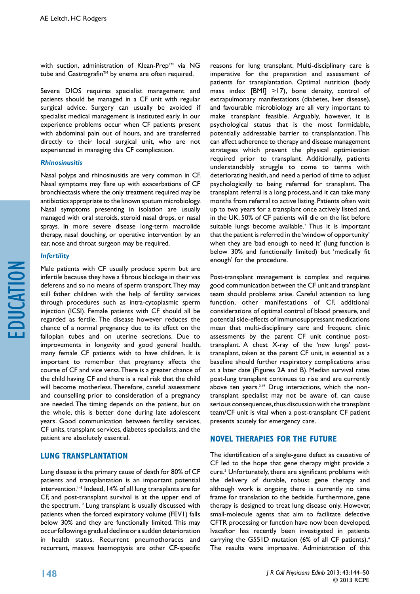with suction, administration of Klean-Prep™ via NG tube and Gastrografin<sup>™</sup> by enema are often required.

Severe DIOS requires specialist management and patients should be managed in a CF unit with regular surgical advice. Surgery can usually be avoided if specialist medical management is instituted early. In our experience problems occur when CF patients present with abdominal pain out of hours, and are transferred directly to their local surgical unit, who are not experienced in managing this CF complication.

#### *Rhinosinusitis*

Nasal polyps and rhinosinusitis are very common in CF. Nasal symptoms may flare up with exacerbations of CF bronchiectasis where the only treatment required may be antibiotics appropriate to the known sputum microbiology. Nasal symptoms presenting in isolation are usually managed with oral steroids, steroid nasal drops, or nasal sprays. In more severe disease long-term macrolide therapy, nasal douching, or operative intervention by an ear, nose and throat surgeon may be required.

#### *Infertility*

Male patients with CF usually produce sperm but are infertile because they have a fibrous blockage in their vas deferens and so no means of sperm transport. They may still father children with the help of fertility services through procedures such as intra-cytoplasmic sperm injection (ICSI). Female patients with CF should all be regarded as fertile. The disease however reduces the chance of a normal pregnancy due to its effect on the fallopian tubes and on uterine secretions. Due to improvements in longevity and good general health, many female CF patients wish to have children. It is important to remember that pregnancy affects the course of CF and vice versa. There is a greater chance of the child having CF and there is a real risk that the child will become motherless. Therefore, careful assessment and counselling prior to consideration of a pregnancy are needed. The timing depends on the patient, but on the whole, this is better done during late adolescent years. Good communication between fertility services, CF units, transplant services, diabetes specialists, and the patient are absolutely essential.

### **Lung transplantation**

Lung disease is the primary cause of death for 80% of CF patients and transplantation is an important potential intervention.<sup>1-3</sup> Indeed, 14% of all lung transplants are for CF, and post-transplant survival is at the upper end of the spectrum.<sup>19</sup> Lung transplant is usually discussed with patients when the forced expiratory volume (FEV1) falls below 30% and they are functionally limited. This may occur following a gradual decline or a sudden deterioration in health status. Recurrent pneumothoraces and recurrent, massive haemoptysis are other CF-specific

reasons for lung transplant. Multi-disciplinary care is imperative for the preparation and assessment of patients for transplantation. Optimal nutrition (body mass index [BMI] >17), bone density, control of extrapulmonary manifestations (diabetes, liver disease), and favourable microbiology are all very important to make transplant feasible. Arguably, however, it is psychological status that is the most formidable, potentially addressable barrier to transplantation. This can affect adherence to therapy and disease management strategies which prevent the physical optimisation required prior to transplant. Additionally, patients understandably struggle to come to terms with deteriorating health, and need a period of time to adjust psychologically to being referred for transplant. The transplant referral is a long process, and it can take many months from referral to active listing. Patients often wait up to two years for a transplant once actively listed and, in the UK, 50% of CF patients will die on the list before suitable lungs become available.2 Thus it is important that the patient is referred in the 'window of opportunity' when they are 'bad enough to need it' (lung function is below 30% and functionally limited) but 'medically fit enough' for the procedure.

Post-transplant management is complex and requires good communication between the CF unit and transplant team should problems arise. Careful attention to lung function, other manifestations of CF, additional considerations of optimal control of blood pressure, and potential side-effects of immunosuppressant medications mean that multi-disciplinary care and frequent clinic assessments by the parent CF unit continue posttransplant. A chest X-ray of the 'new lungs' posttransplant, taken at the parent CF unit, is essential as a baseline should further respiratory complications arise at a later date (Figures 2A and B). Median survival rates post-lung transplant continues to rise and are currently above ten years.<sup>2,19</sup> Drug interactions, which the nontransplant specialist may not be aware of, can cause serious consequences, thus discussion with the transplant team/CF unit is vital when a post-transplant CF patient presents acutely for emergency care.

## **Novel therapies for the future**

The identification of a single-gene defect as causative of CF led to the hope that gene therapy might provide a cure.<sup>5</sup> Unfortunately, there are significant problems with the delivery of durable, robust gene therapy and although work is ongoing there is currently no time frame for translation to the bedside. Furthermore, gene therapy is designed to treat lung disease only. However, small-molecule agents that aim to facilitate defective CFTR processing or function have now been developed. Ivacaftor has recently been investigated in patients carrying the G551D mutation (6% of all CF patients).4 The results were impressive. Administration of this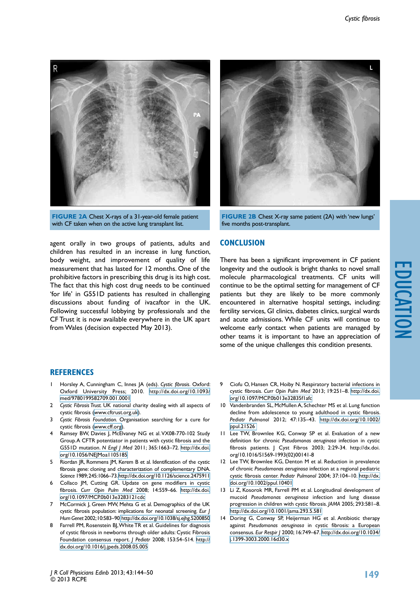

**FIGURE 2A** Chest X-rays of a 31-year-old female patient with CF taken when on the active lung transplant list.

agent orally in two groups of patients, adults and children has resulted in an increase in lung function, body weight, and improvement of quality of life measurement that has lasted for 12 months. One of the prohibitive factors in prescribing this drug is its high cost. The fact that this high cost drug needs to be continued 'for life' in G551D patients has resulted in challenging discussions about funding of ivacaftor in the UK. Following successful lobbying by professionals and the CF Trust it is now available everywhere in the UK apart from Wales (decision expected May 2013).



**FIGURE 2B** Chest X-ray same patient (2A) with 'new lungs' five months post-transplant.

# **Conclusion**

There has been a significant improvement in CF patient longevity and the outlook is bright thanks to novel small molecule pharmacological treatments. CF units will continue to be the optimal setting for management of CF patients but they are likely to be more commonly encountered in alternative hospital settings, including: fertility services, GI clinics, diabetes clinics, surgical wards and acute admissions. While CF units will continue to welcome early contact when patients are managed by other teams it is important to have an appreciation of some of the unique challenges this condition presents.

## **references**

- 1 Horsley A, Cunningham C, Innes JA (eds). *Cystic fibrosis*. Oxford: Oxford University Press; 2010. [http://dx.doi.org/10.1093/](http://dx.doi.org/10.1093/med/9780199582709.001.0001) [med/9780199582709.001.0001](http://dx.doi.org/10.1093/med/9780199582709.001.0001)
- 2 *Cystic Fibrosis Trust.* UK national charity dealing with all aspects of cystic fibrosis ([www.cftrust.org.uk\)](www.cftrust.org.uk).
- 3 *Cystic Fibrosis Foundation.* Organisation searching for a cure for cystic fibrosis (<www.cff.org>).
- Ramsey BW, Davies J, McElvaney NG et al. VX08-770-102 Study Group. A CFTR potentiator in patients with cystic fibrosis and the G551D mutation. *N Engl J Med* 2011; 365:1663–72. [http://dx.doi.](http://dx.doi.org/10.1056/NEJMoa1105185) [org/10.1056/NEJMoa1105185](http://dx.doi.org/10.1056/NEJMoa1105185)
- 5 Riordan JR, Rommens JM, Kerem B et al. Identification of the cystic fibrosis gene: cloning and characterization of complementary DNA. *Science* 1989; 245:1066–73.<http://dx.doi.org/10.1126/science.2475911>
- 6 Collaco JM, Cutting GR. Update on gene modifiers in cystic fibrosis. *Curr Opin Pulm Med* 2008; 14:559–66. [http://dx.doi.](http://dx.doi.org/10.1097/MCP.0b013e3283121cdc) [org/10.1097/MCP.0b013e3283121cdc](http://dx.doi.org/10.1097/MCP.0b013e3283121cdc)
- 7 McCormick J, Green MW, Mehta G et al. Demographics of the UK cystic fibrosis population: implications for neonatal screening. *Eur J Hum Genet* 2002; 10:583–90[. http://dx.doi.org/10.1038/sj.ejhg.5200850]( http://dx.doi.org/10.1038/sj.ejhg.5200850)
- 8 Farrell PM, Rosenstein BJ, White TR et al. Guidelines for diagnosis of cystic fibrosis in newborns through older adults: Cystic Fibrosis Foundation consensus report. *J Pediatr* 2008; 153:S4–S14. [http://](http://dx.doi.org/10.1016/j.jpeds.2008.05.005) [dx.doi.org/10.1016/j.jpeds.2008.05.005](http://dx.doi.org/10.1016/j.jpeds.2008.05.005)
- 9 Ciofu O, Hansen CR, Hoiby N. Respiratory bacterial infections in cystic fibrosis. *Curr Opin Pulm Med* 2013; 19:251–8. [http://dx.doi.](http://dx.doi.org/10.1097/MCP.0b013e32835f1afc) [org/10.1097/MCP.0b013e32835f1afc](http://dx.doi.org/10.1097/MCP.0b013e32835f1afc)
- 10 Vandenbranden SL, McMullen A, Schechter MS et al. Lung function decline from adolescence to young adulthood in cystic fibrosis. *Pediatr Pulmonol* 2012; 47:135–43. [http://dx.doi.org/10.1002/](http://dx.doi.org/10.1002/ppul.21526 ) [ppul.21526](http://dx.doi.org/10.1002/ppul.21526 )
- 11 Lee TW, Brownlee KG, Conway SP et al. Evaluation of a new definition for chronic *Pseudomonas aeruginosa* infection in cystic fibrosis patients. | Cyst Fibros 2003; 2:29-34. http://dx.doi. org/10.1016/S1569-1993(02)00141-8
- 12 Lee TW, Brownlee KG, Denton M et al. Reduction in prevalence of chronic *Pseudomonas aeruginosa* infection at a regional pediatric cystic fibrosis center. *Pediatr Pulmonol* 2004; 37:104–10. [http://dx.](http://dx.doi.org/10.1002/ppul.21526 ) [doi.org/10.1002/ppul.10401](http://dx.doi.org/10.1002/ppul.21526 )
- 13 Li Z, Kosorok MR, Farrell PM et al. Longitudinal development of mucoid *Pseudomonas aeruginosa* infection and lung disease progression in children with cystic fibrosis. *JAMA* 2005; 293:581–8. <http://dx.doi.org/10.1001/jama.293.5.581>
- 14 Doring G, Conway SP, Heijerman HG et al. Antibiotic therapy against *Pseudomonas aeruginosa* in cystic fibrosis: a European consensus. *Eur Respir J* 2000; 16:749–67. [http://dx.doi.org/10.1034/](http://dx.doi.org/10.1034/j.1399-3003.2000.16d30.x) [j.1399-3003.2000.16d30.x](http://dx.doi.org/10.1034/j.1399-3003.2000.16d30.x)